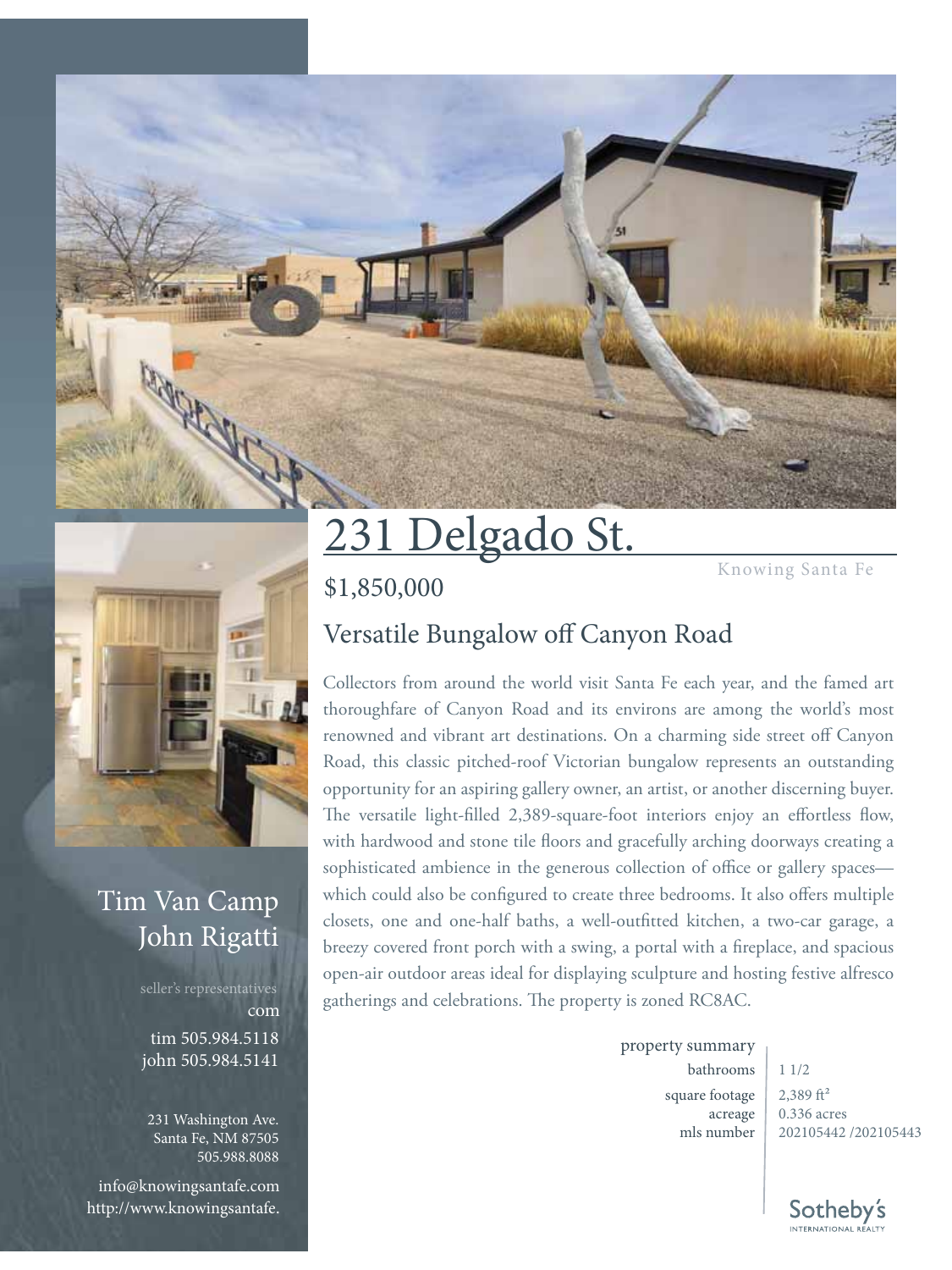

#### Tim Van Camp John Rigatti

seller's representatives tim 505.984.5118 john 505.984.5141 com

231 Washington Ave. Santa Fe, NM 87505 505.988.8088

info@knowingsantafe.com http://www.knowingsantafe.

# 231 Delgado St.

\$1,850,000

### Versatile Bungalow off Canyon Road

Collectors from around the world visit Santa Fe each year, and the famed art thoroughfare of Canyon Road and its environs are among the world's most renowned and vibrant art destinations. On a charming side street off Canyon Road, this classic pitched-roof Victorian bungalow represents an outstanding opportunity for an aspiring gallery owner, an artist, or another discerning buyer. The versatile light-filled 2,389-square-foot interiors enjoy an effortless flow, with hardwood and stone tile floors and gracefully arching doorways creating a sophisticated ambience in the generous collection of office or gallery spaces which could also be configured to create three bedrooms. It also offers multiple closets, one and one-half baths, a well-outfitted kitchen, a two-car garage, a breezy covered front porch with a swing, a portal with a fireplace, and spacious open-air outdoor areas ideal for displaying sculpture and hosting festive alfresco gatherings and celebrations. The property is zoned RC8AC.

property summary

bathrooms  $11/2$ square footage acreage mls number

 $2,389$  ft<sup>2</sup> 0.336 acres 202105442 /202105443

Knowing Santa Fe

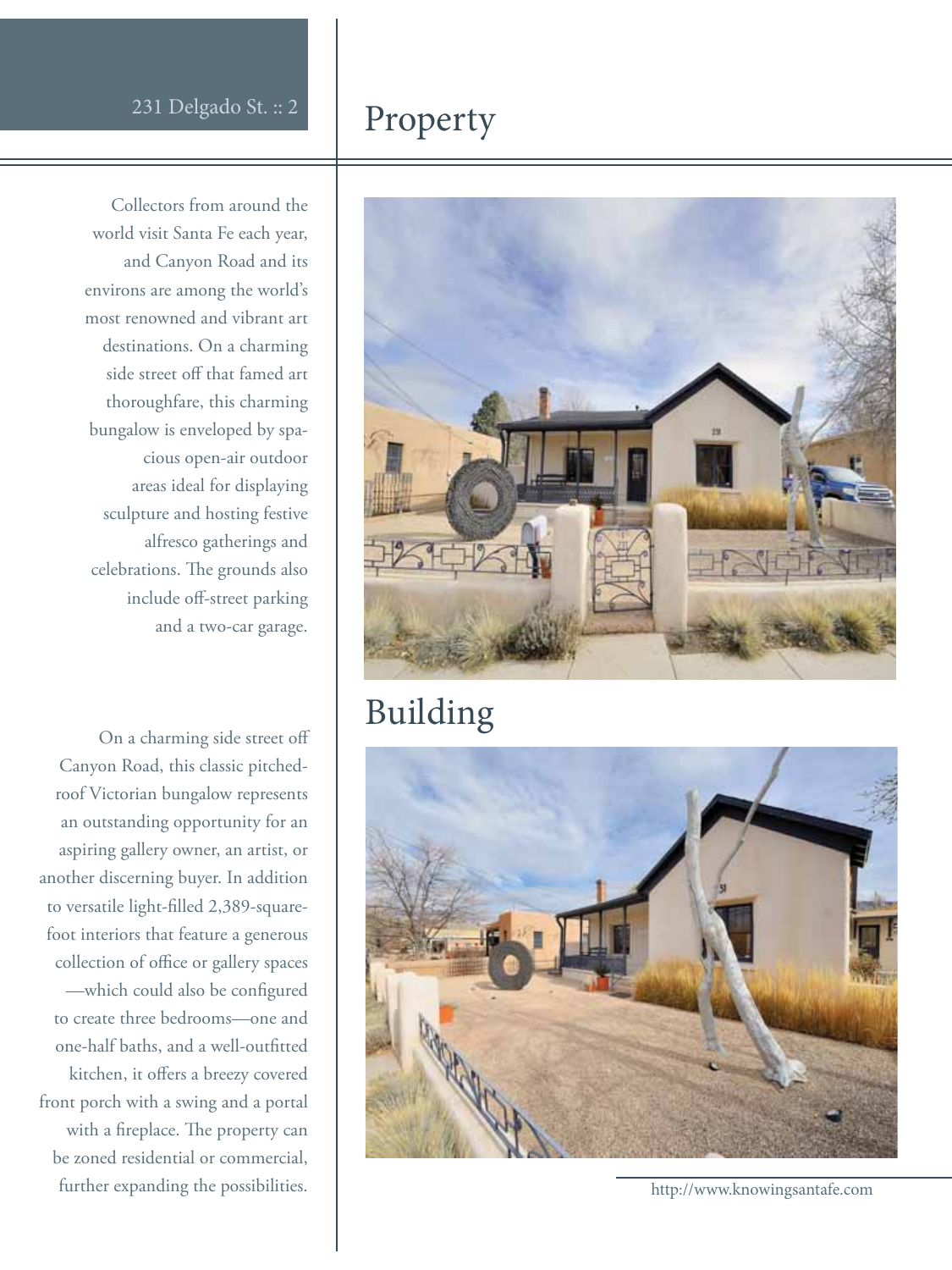#### Property

Collectors from around the world visit Santa Fe each year, and Canyon Road and its environs are among the world's most renowned and vibrant art destinations. On a charming side street off that famed art thoroughfare, this charming bungalow is enveloped by spacious open-air outdoor areas ideal for displaying sculpture and hosting festive alfresco gatherings and celebrations. The grounds also include off-street parking and a two-car garage.

On a charming side street off Canyon Road, this classic pitchedroof Victorian bungalow represents an outstanding opportunity for an aspiring gallery owner, an artist, or another discerning buyer. In addition to versatile light-filled 2,389-squarefoot interiors that feature a generous collection of office or gallery spaces -which could also be configured to create three bedrooms—one and one-half baths, and a well-outfitted kitchen, it offers a breezy covered front porch with a swing and a portal with a fireplace. The property can be zoned residential or commercial, further expanding the possibilities.



#### Building



http://www.knowingsantafe.com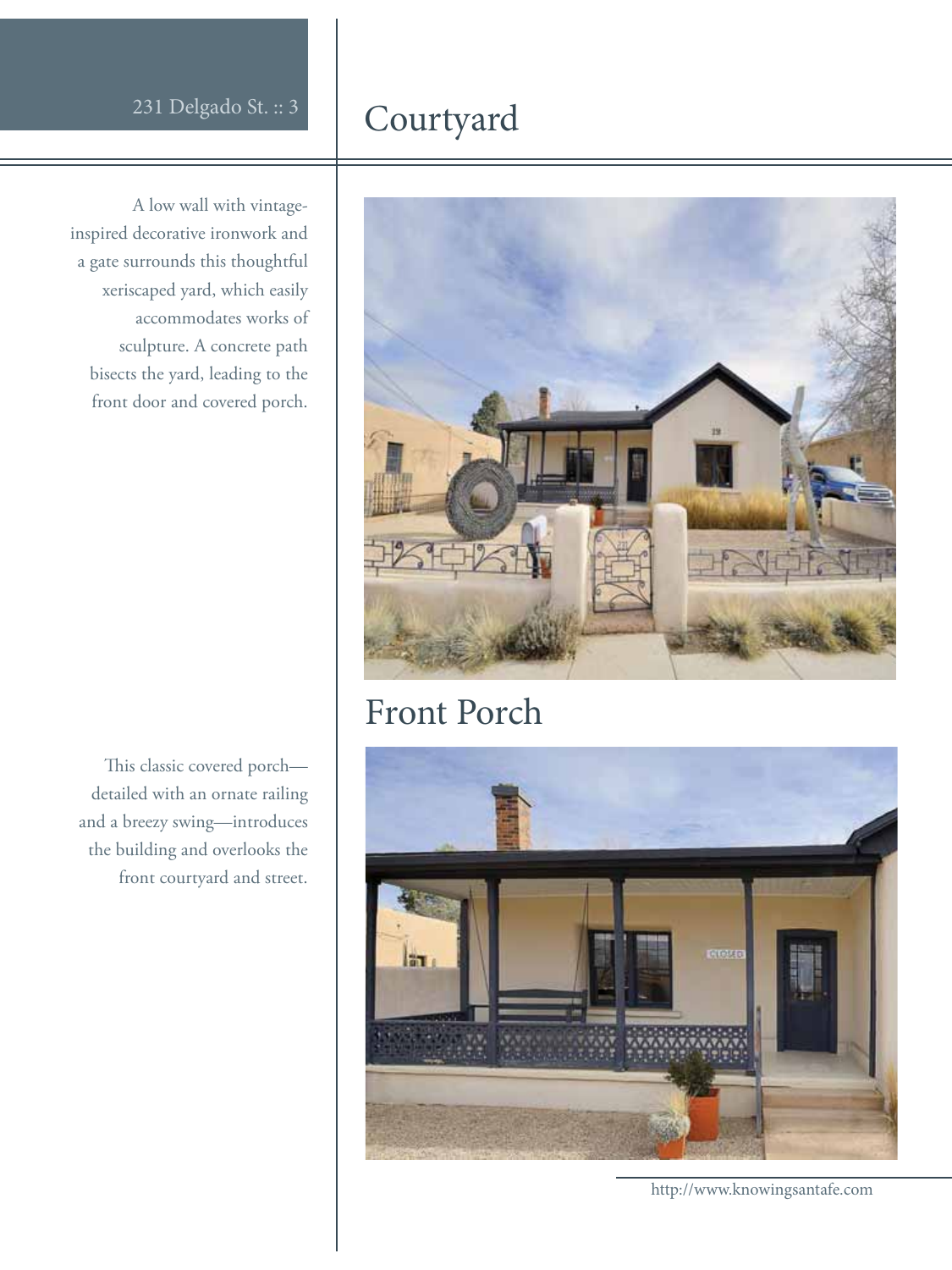#### Courtyard

A low wall with vintageinspired decorative ironwork and a gate surrounds this thoughtful xeriscaped yard, which easily accommodates works of sculpture. A concrete path bisects the yard, leading to the front door and covered porch.

This classic covered porchdetailed with an ornate railing and a breezy swing—introduces the building and overlooks the front courtyard and street.



#### Front Porch



http://www.knowingsantafe.com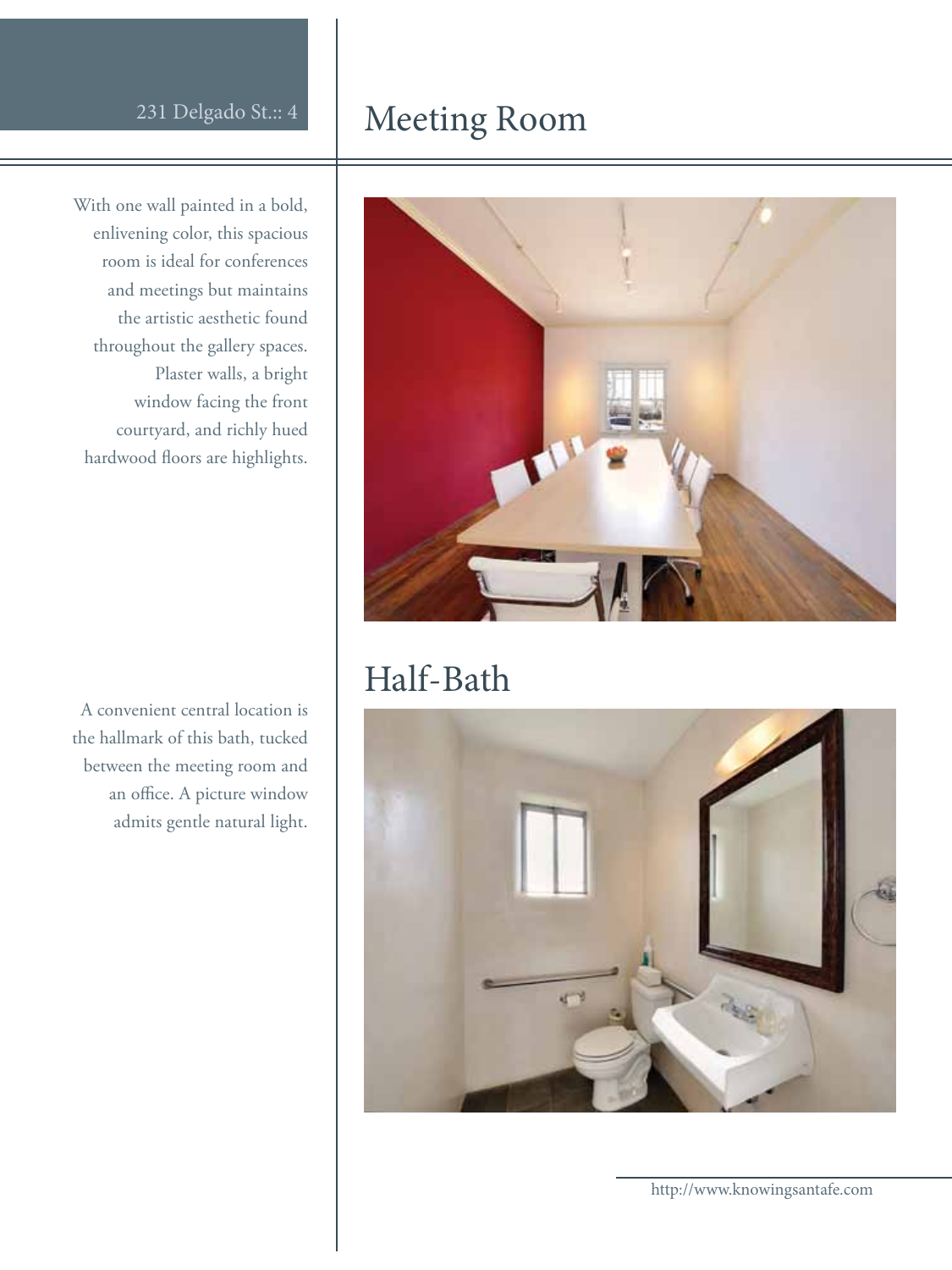# With one wall painted in a bold,

enlivening color, this spacious room is ideal for conferences and meetings but maintains the artistic aesthetic found throughout the gallery spaces. Plaster walls, a bright window facing the front courtyard, and richly hued hardwood floors are highlights.

A convenient central location is the hallmark of this bath, tucked between the meeting room and an office. A picture window admits gentle natural light.

#### 231 Delgado St.:: 4 Meeting Room



#### Half-Bath

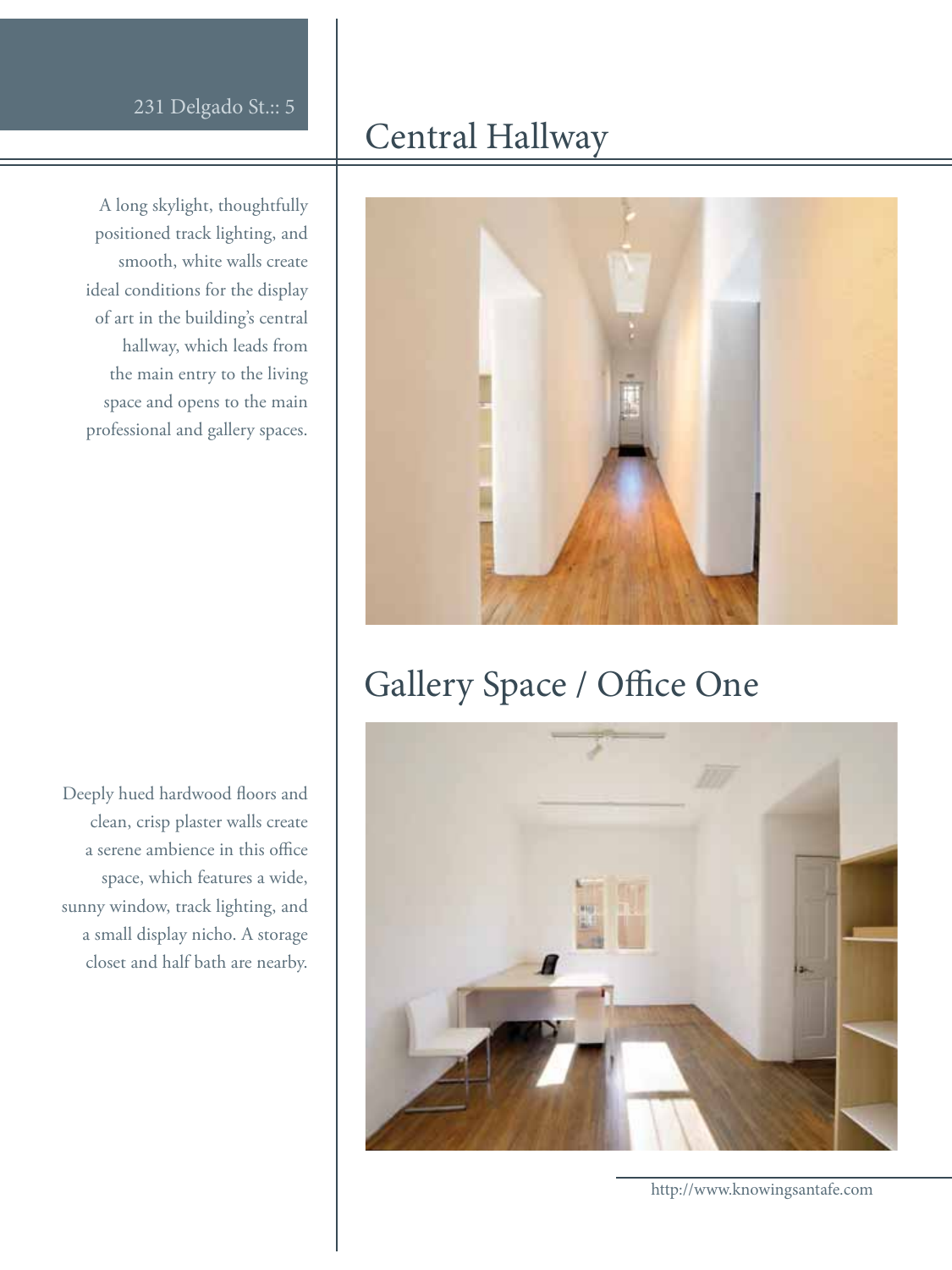A long skylight, thoughtfully positioned track lighting, and smooth, white walls create ideal conditions for the display of art in the building's central hallway, which leads from the main entry to the living space and opens to the main professional and gallery spaces.

#### Central Hallway



### Gallery Space / Office One

Deeply hued hardwood floors and clean, crisp plaster walls create a serene ambience in this office space, which features a wide, sunny window, track lighting, and a small display nicho. A storage closet and half bath are nearby.

http://www.knowingsantafe.com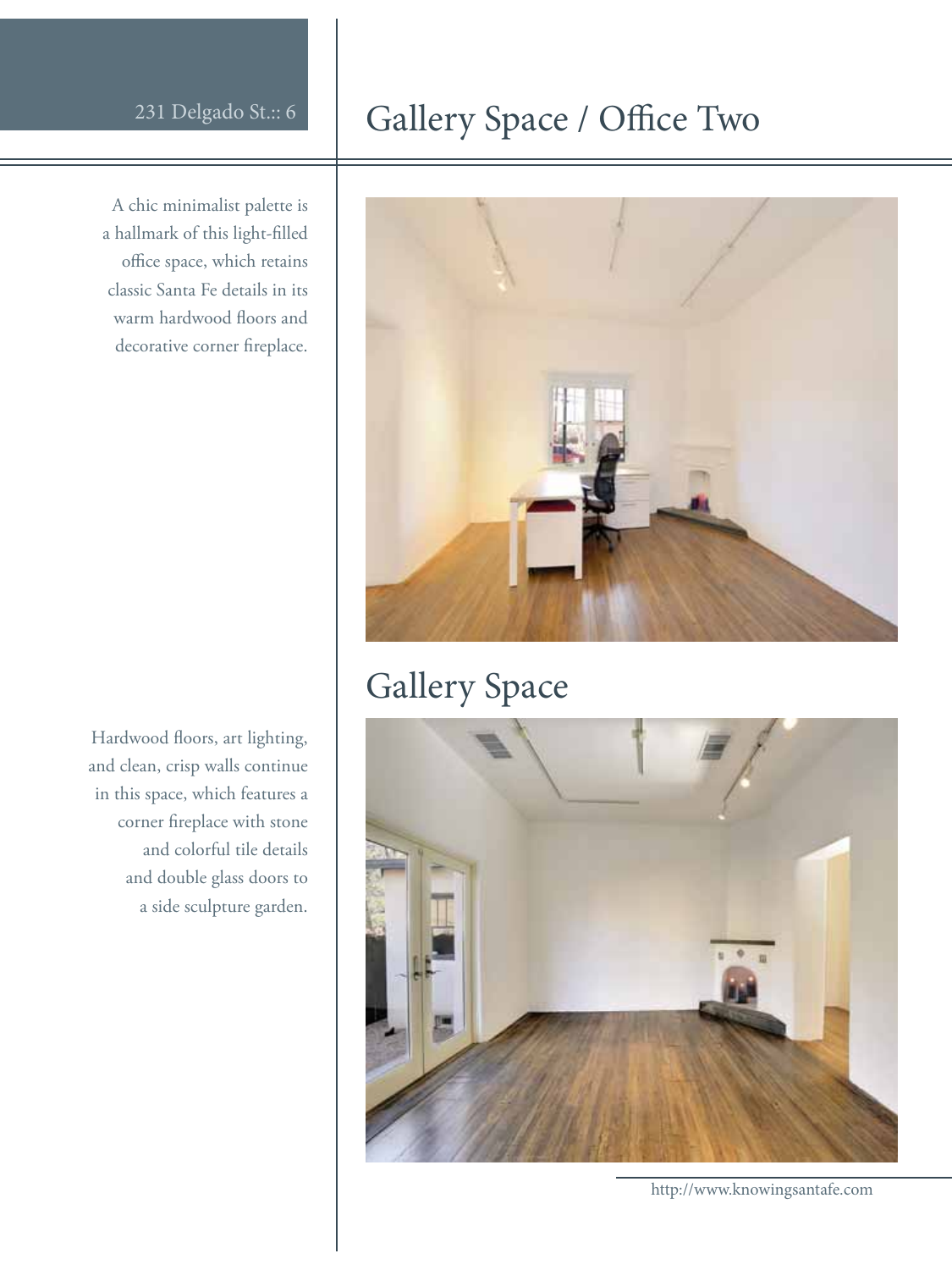A chic minimalist palette is a hallmark of this light-filled office space, which retains classic Santa Fe details in its warm hardwood floors and decorative corner fireplace.

Hardwood floors, art lighting, and clean, crisp walls continue in this space, which features a corner fireplace with stone and colorful tile details and double glass doors to a side sculpture garden.

### 231 Delgado St.:: 6 Gallery Space / Office Two



### Gallery Space



http://www.knowingsantafe.com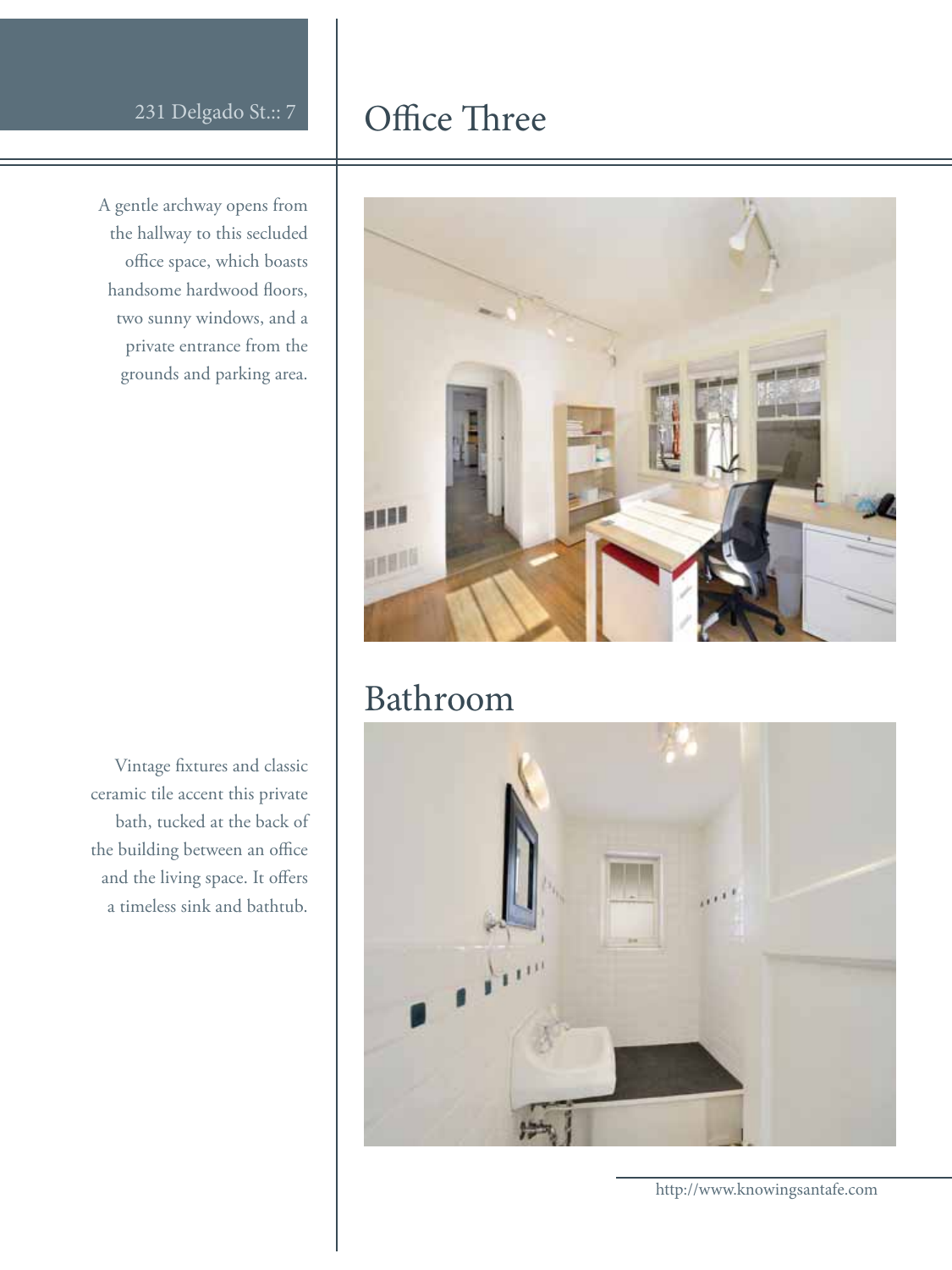#### Office Three

A gentle archway opens from the hallway to this secluded office space, which boasts handsome hardwood floors, two sunny windows, and a private entrance from the grounds and parking area.

Vintage fixtures and classic ceramic tile accent this private bath, tucked at the back of the building between an office and the living space. It offers a timeless sink and bathtub.



#### Bathroom



http://www.knowingsantafe.com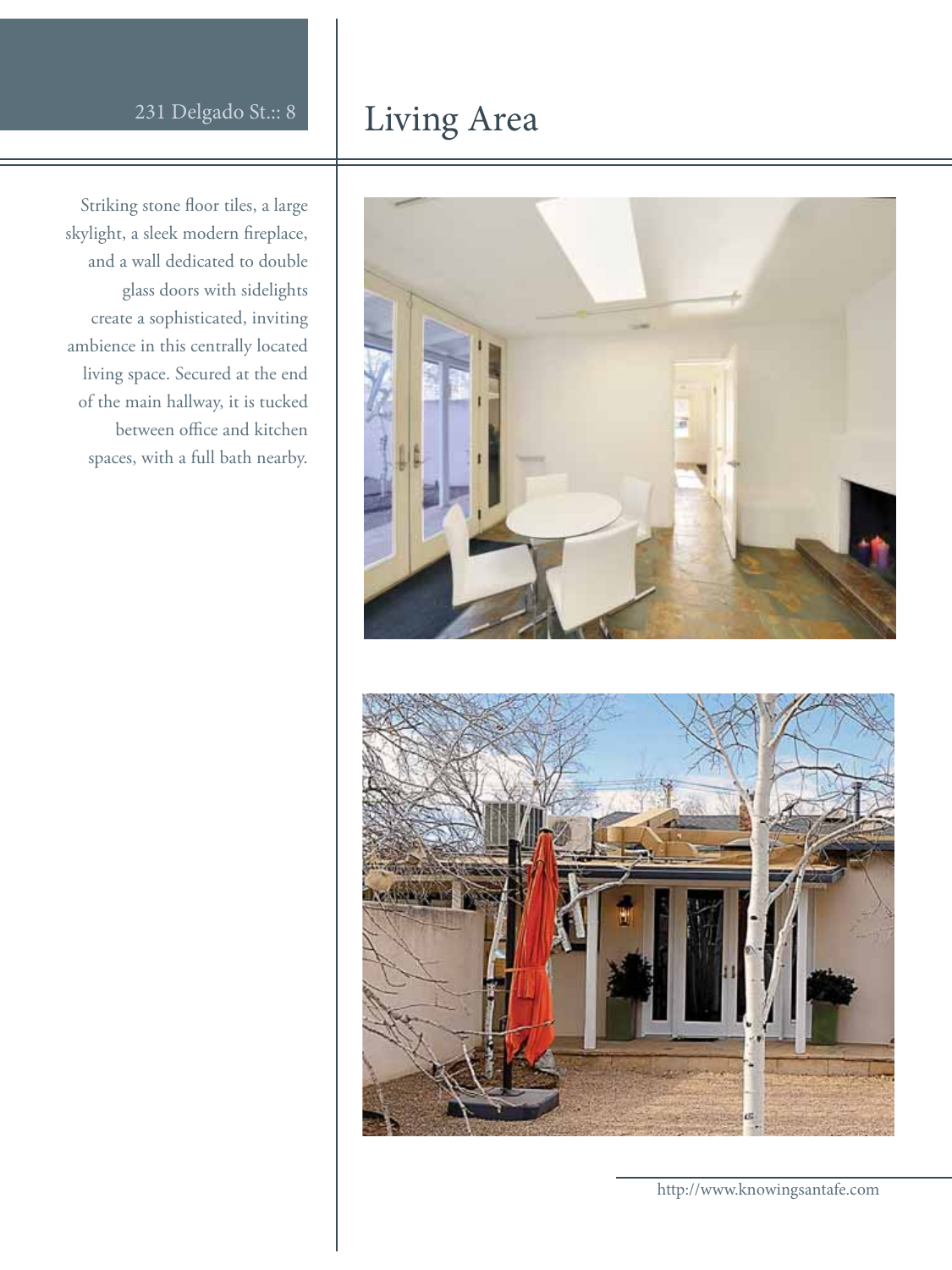#### Living Area

Striking stone floor tiles, a large skylight, a sleek modern fireplace, and a wall dedicated to double glass doors with sidelights create a sophisticated, inviting ambience in this centrally located living space. Secured at the end of the main hallway, it is tucked between office and kitchen spaces, with a full bath nearby.



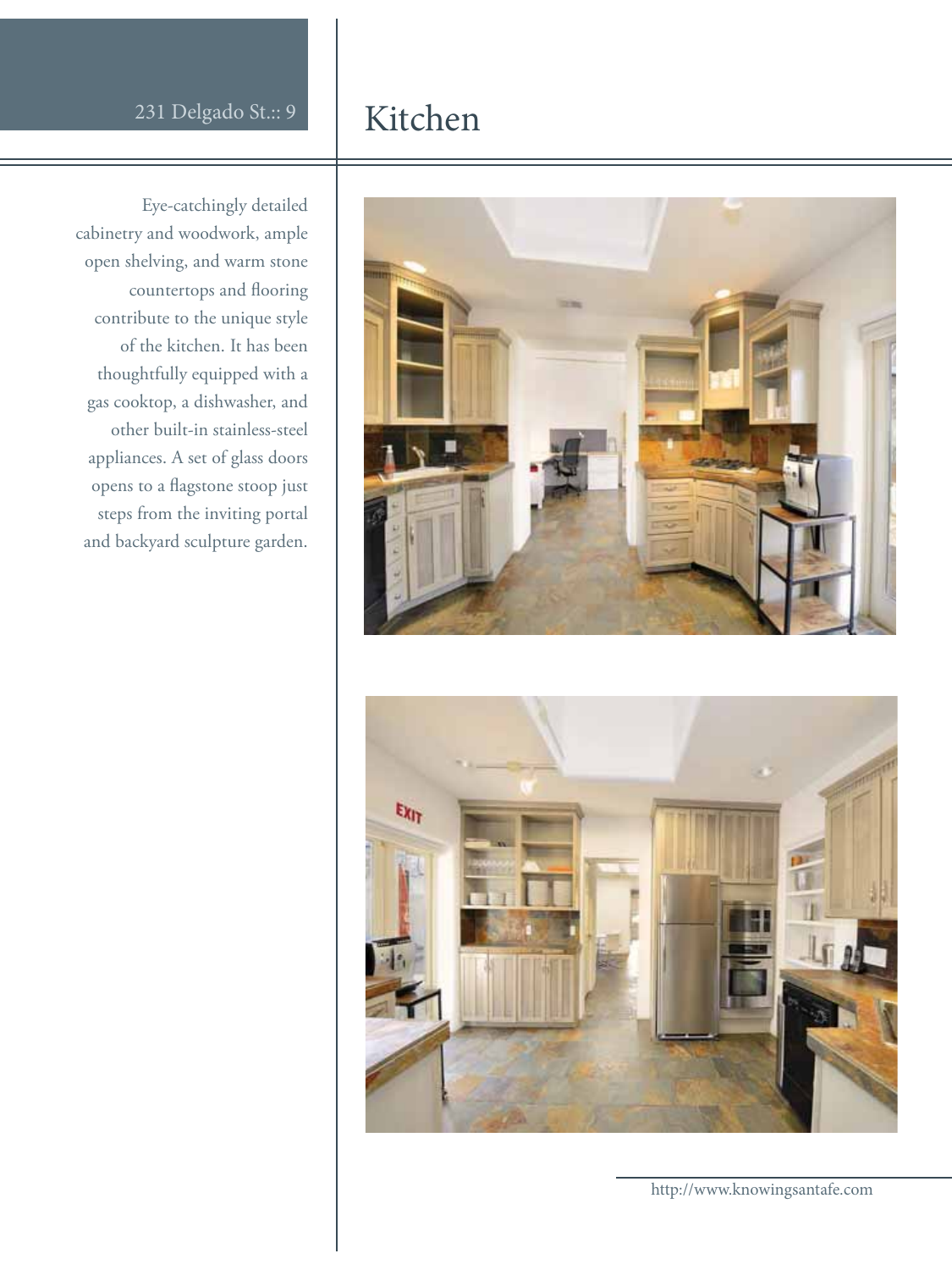#### Kitchen

Eye-catchingly detailed cabinetry and woodwork, ample open shelving, and warm stone countertops and flooring contribute to the unique style of the kitchen. It has been thoughtfully equipped with a gas cooktop, a dishwasher, and other built-in stainless-steel appliances. A set of glass doors opens to a flagstone stoop just steps from the inviting portal and backyard sculpture garden.



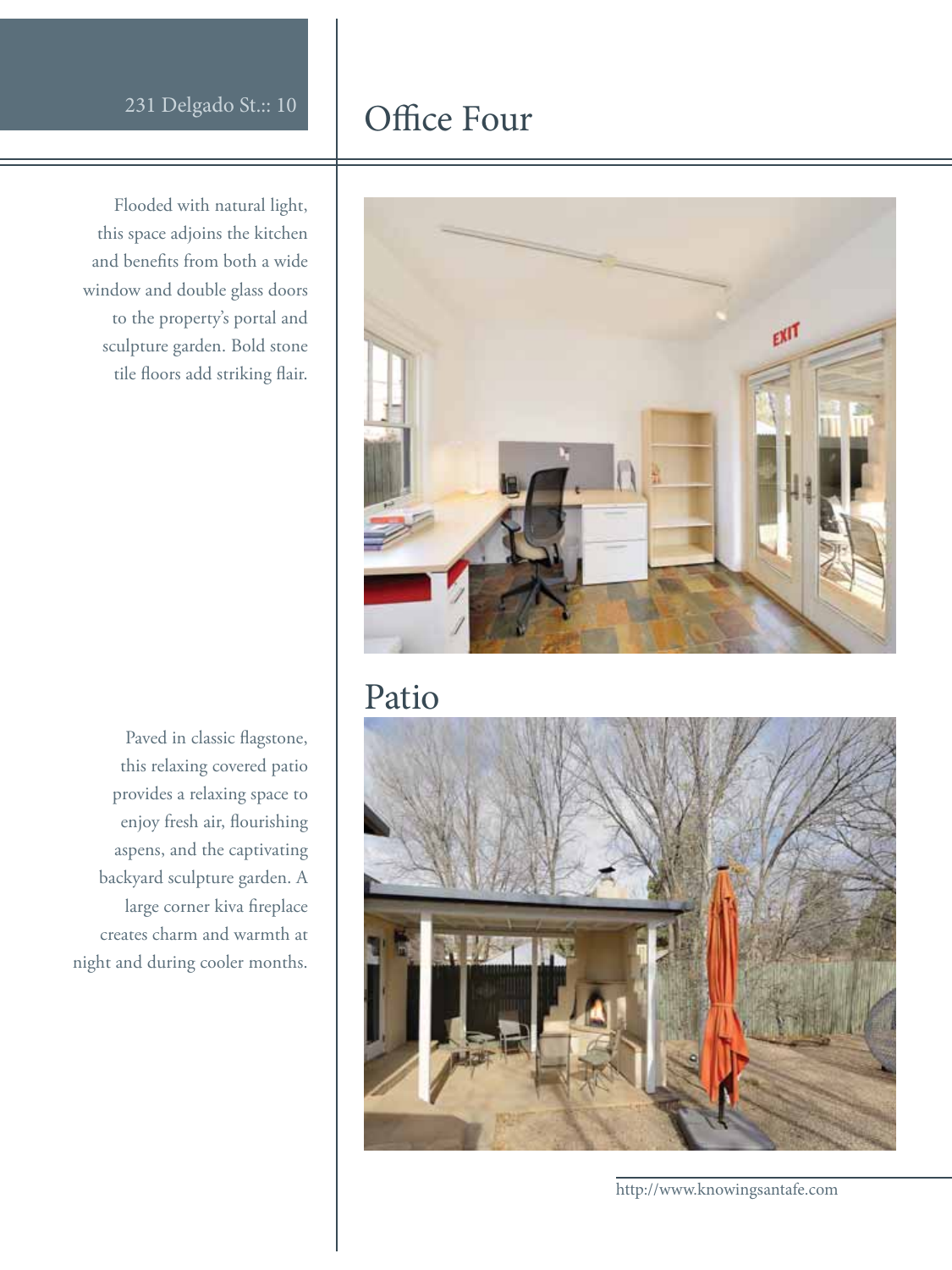Flooded with natural light, this space adjoins the kitchen and benefits from both a wide window and double glass doors to the property's portal and sculpture garden. Bold stone tile floors add striking flair.

Paved in classic flagstone, this relaxing covered patio provides a relaxing space to enjoy fresh air, flourishing aspens, and the captivating backyard sculpture garden. A large corner kiva fireplace creates charm and warmth at night and during cooler months.

#### Office Four



#### Patio



http://www.knowingsantafe.com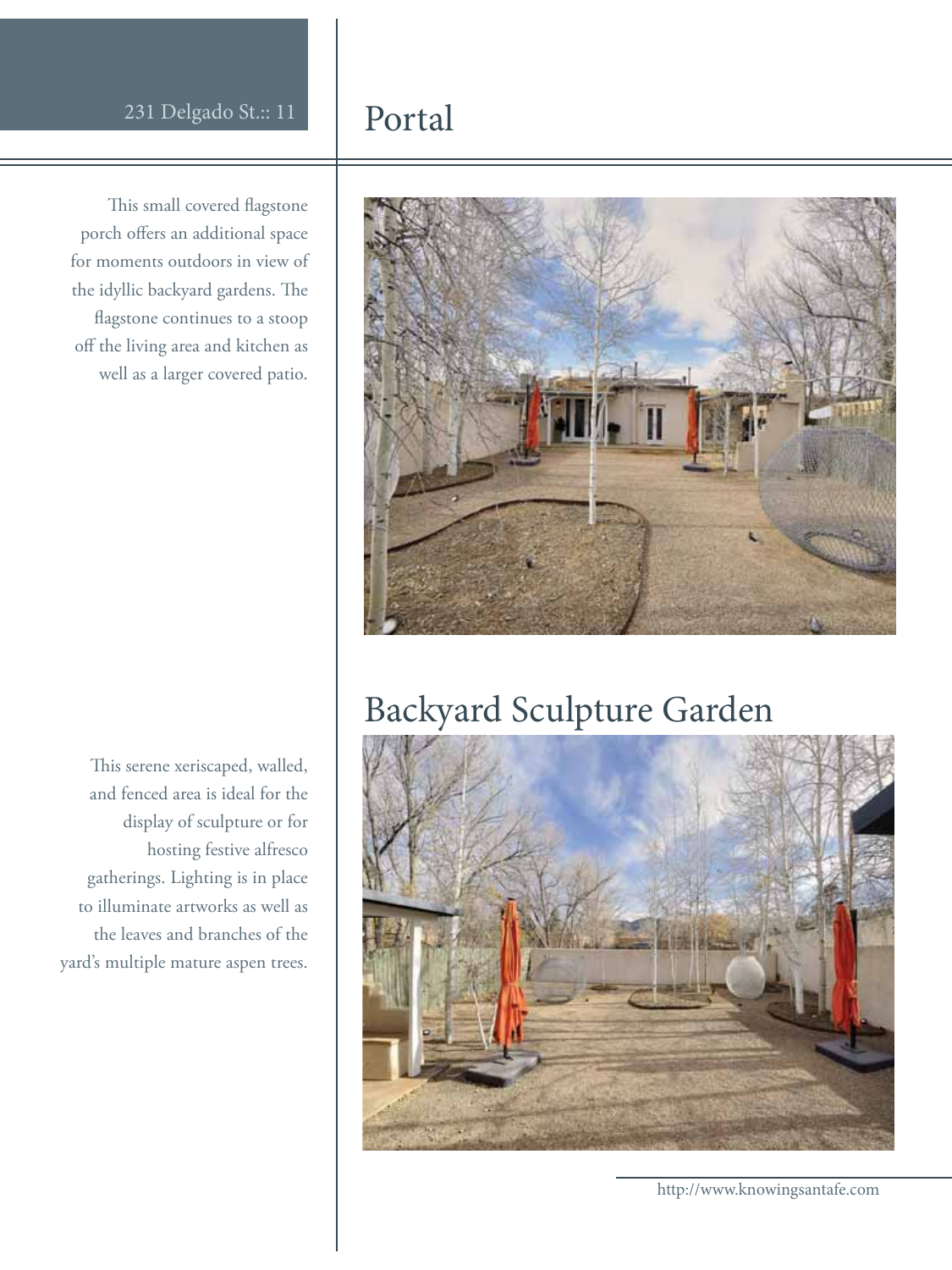This small covered flagstone porch offers an additional space for moments outdoors in view of the idyllic backyard gardens. The flagstone continues to a stoop off the living area and kitchen as well as a larger covered patio.

This serene xeriscaped, walled, and fenced area is ideal for the display of sculpture or for hosting festive alfresco gatherings. Lighting is in place to illuminate artworks as well as the leaves and branches of the yard's multiple mature aspen trees.

#### Portal



#### Backyard Sculpture Garden



http://www.knowingsantafe.com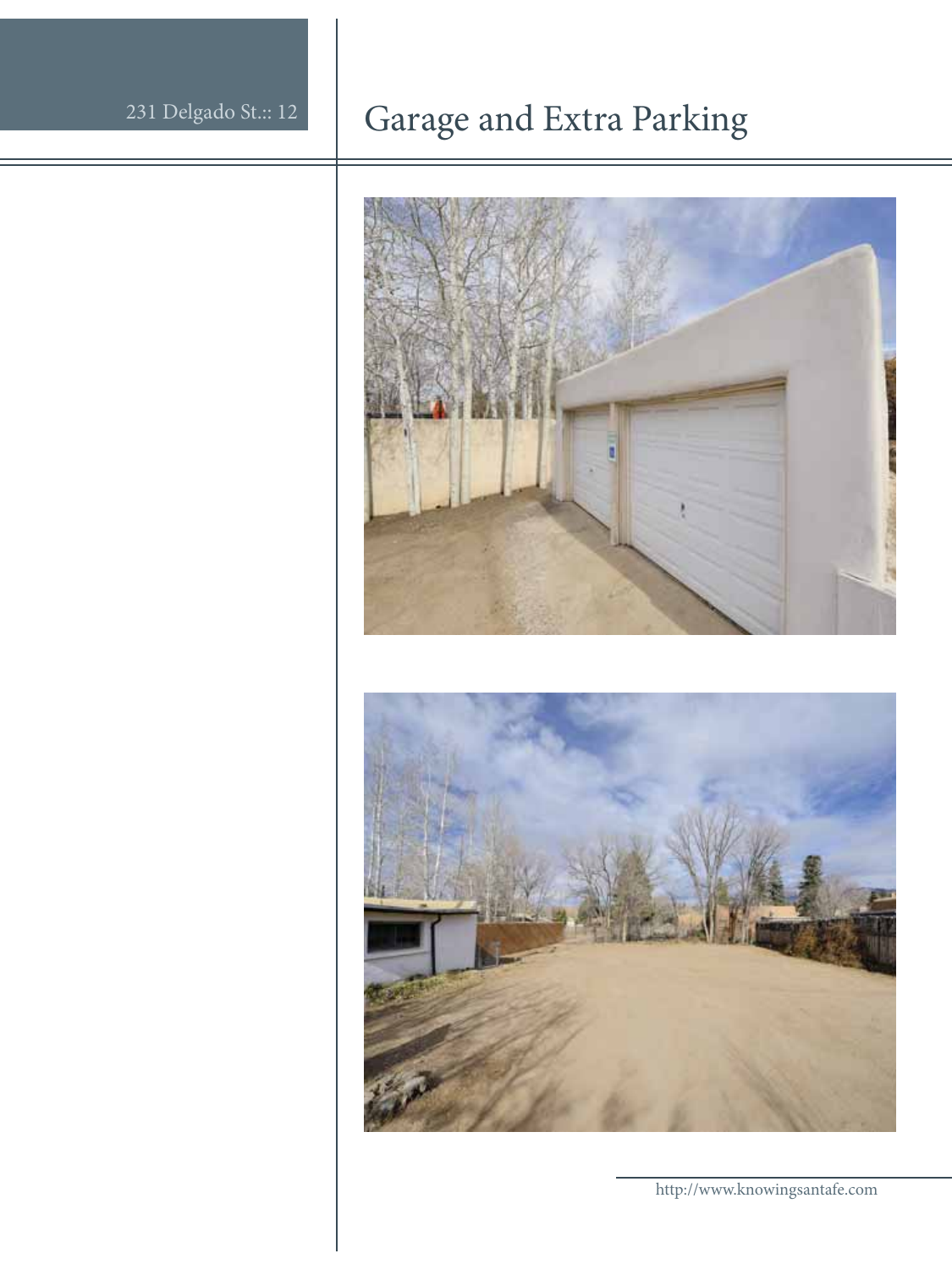## Garage and Extra Parking

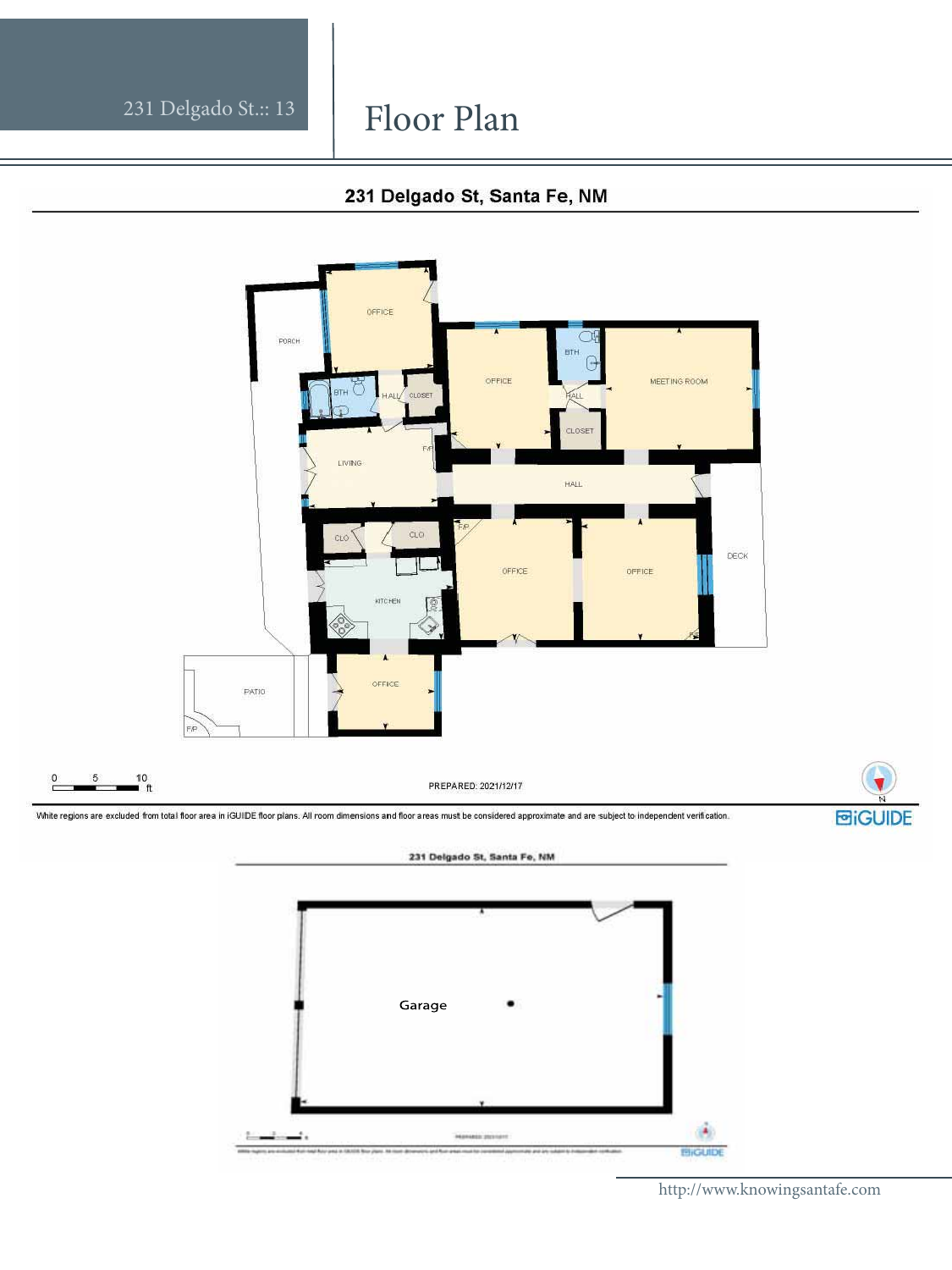#### Floor Plan

#### 231 Delgado St, Santa Fe, NM



GUIDE

http://www.knowingsantafe.com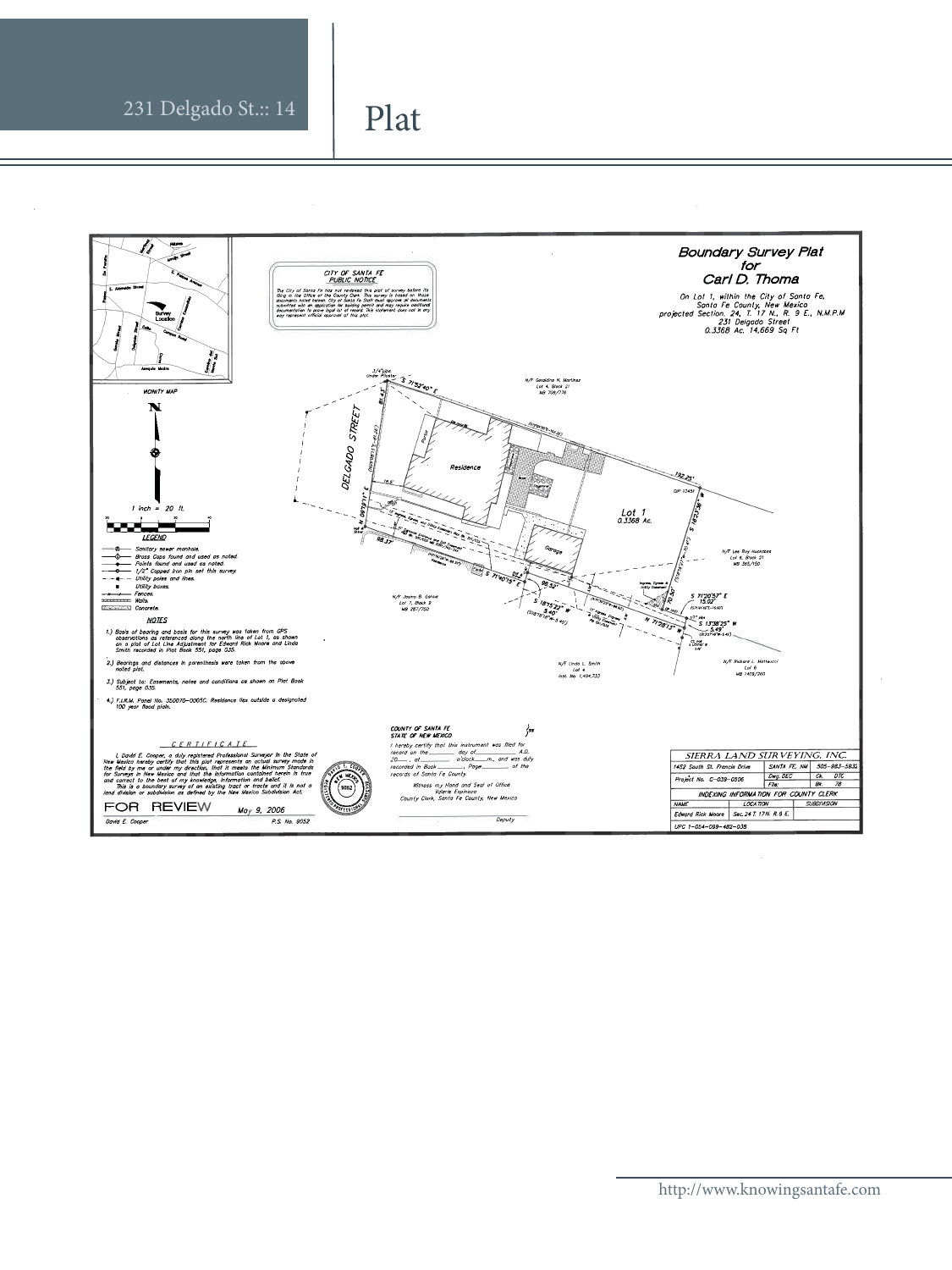#### Plat